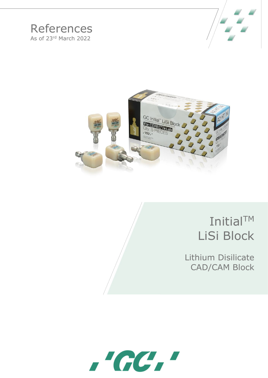## References As of 23rd March 2022





# InitialTM LiSi Block

Lithium Disilicate CAD/CAM Block

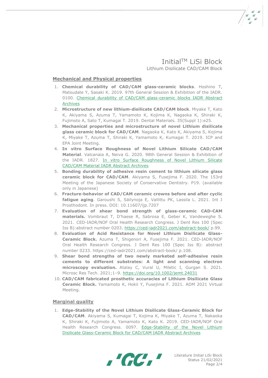### InitialTM LiSi Block Lithium Disilicate CAD/CAM Block

#### **Mechanical and Physical properties**

- 1. **Chemical durability of CAD/CAM glass-ceramic blocks**. Hoshino T, Matsudate Y, Sasaki K. 2019. 97th General Session & Exhibition of the IADR. 0100. [Chemical durability of CAD/CAM glass-ceramic blocks IADR Abstract](https://iadr.abstractarchives.com/abstract/19iags-3168964/chemical-durability-of-cadcam-glass-ceramic-blocks)  [Archives](https://iadr.abstractarchives.com/abstract/19iags-3168964/chemical-durability-of-cadcam-glass-ceramic-blocks)
- 2. **Microstructure of new lithium-disilicate CAD/CAM block**. Miyake T, Kato K, Akiyama S, Azuma T, Yamamoto K, Kojima K, Nagaoka K, Shiraki K, Fujimoto A, Sato T, Kumagai T. 2019. Dental Materials. 35(Suppl 1):e25.
- 3. **Mechanical properties and microstructure of novel Lithium disilicate glass ceramic block for CAD/CAM**. Nagaoka K, Kato K, Akiyama S, Kojima K, Miyake T, Azuma T, Shiraki K, Yamamoto K, Kumagai T. 2019. ICP and EPA Joint Meeting.
- 4. **In vitro Surface Roughness of Novel Lithium Silicate CAD/CAM Material**. Valcanaia A, Neiva G. 2020. 98th General Session & Exhibition of the IADR. 1827. [In vitro Surface Roughness of Novel Lithium Silicate](https://iadr.abstractarchives.com/abstract/20iags-3324513/in-vitro-surface-roughness-of-novel-lithium-silicate-cadcam-material)  [CAD/CAM Material IADR Abstract Archives](https://iadr.abstractarchives.com/abstract/20iags-3324513/in-vitro-surface-roughness-of-novel-lithium-silicate-cadcam-material)
- 5. **Bonding durability of adhesive resin cement to lithium silicate glass ceramic block for CAD/CAM**. Akiyama S, Fusejima F. 2020. The 153rd Meeting of the Japanese Society of Conservative Dentistry. P19. (available only in Japanese)
- 6. **Fracture-behavior of CAD/CAM ceramic crowns before and after cyclic fatigue aging**. Garoushi S, Säilynoja E, Vallittu PK, Lassila L. 2021. Int J Prosthodont. In press. DOI: 10.11607/ijp.7207
- 7. **Evaluation of shear bond strength of glass-ceramic CAD-CAM materials.** Vombraut T, D'haese R, Sabrosa E, Geber K, Vandeweghe S. 2021. CED-IADR/NOF Oral Health Research Congress. J Dent Res 100 (Spec Iss B):abstract number 0203. <https://ced-iadr2021.com/abstract-book/> p.99.
- 8. **Evaluation of Acid Resistance for Novel Lithium Disilicate Glass-Ceramic Block.** Azuma T, Shigenori A, Fusejima F. 2021. CED-IADR/NOF Oral Health Research Congress. J Dent Res 100 (Spec Iss B): abstract number 0233. https://ced-iadr2021.com/abstract-book/ p.108.
- 9. **Shear bond strengths of two newly marketed self-adhesive resin cements to different substrates: A light and scanning electron microscopy evaluation.** Atalay C, Vural U, Miletic I, Gurgan S. 2021. Microsc Res Tech. 2021;1–9. <https://doi.org/10.1002/jemt.24031>
- 10. **CAD/CAM fabricated prosthetic accuracies of Lithium Disilicate Glass Ceramic Block.** Yamamoto K, Hokii Y, Fusejima F. 2021. ADM 2021 Virtual Meeting.

#### **Marginal quality**

1. **Edge-Stability of the Novel Lithium Disilicate Glass-Ceramic Block for CAD/CAM**. Akiyama S, Kumagai T, Kojima K, Miyake T, Azuma T, Nakaoka K, Shiraki K, Fujimoto A, Yamamoto K, Kato K. 2019. CED-IADR/NOF Oral Health Research Congress. 0097. [Edge-Stability of the Novel Lithium](https://iadr.abstractarchives.com/abstract/ced-iadr2019-3223282/edge-stability-of-the-novel-lithium-disilicate-glass-ceramic-block-for-cadcam)  [Disilicate Glass-Ceramic Block for CAD/CAM IADR Abstract Archives](https://iadr.abstractarchives.com/abstract/ced-iadr2019-3223282/edge-stability-of-the-novel-lithium-disilicate-glass-ceramic-block-for-cadcam)

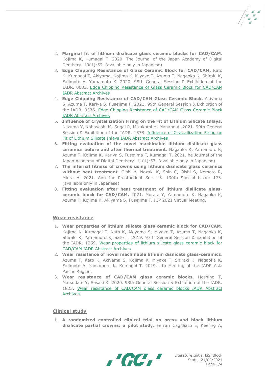- 2. **Marginal fit of lithium disilicate glass ceramic blocks for CAD/CAM**. Kojima K, Kumagai T. 2020. The Journal of the Japan Academy of Digital Dentistry. 10(1):59. (available only in Japanese)
- 3. **Edge Chipping Resistance of Glass Ceramic Block for CAD/CAM**. Kato K, Kumagai T, Akiyama, Kojima K, Miyake T, Azuma T, Nagaoka K, Shiraki K, Fujimoto A, Yamamoto K. 2020. 98th General Session & Exhibition of the IADR. 0083. [Edge Chipping Resistance of Glass](https://iadr.abstractarchives.com/abstract/20iags-3315704/edge-chipping-resistance-of-glass-ceramic-block-for-cadcam) Ceramic Block for CAD/CAM [IADR Abstract Archives](https://iadr.abstractarchives.com/abstract/20iags-3315704/edge-chipping-resistance-of-glass-ceramic-block-for-cadcam)
- 4. **Edge Chipping Resistance of CAD/CAM Glass Ceramic Block.** Akiyama S, Azuma T, Kariya S, Fusejima F. 2021. 99th General Session & Exhibition of the IADR. 0536. [Edge Chipping Resistance of CAD/CAM Glass Ceramic Block](https://iadr.abstractarchives.com/abstract/21iags-3570053/edge-chipping-resistance-of-cadcam-glass-ceramic-block)  [IADR Abstract Archives](https://iadr.abstractarchives.com/abstract/21iags-3570053/edge-chipping-resistance-of-cadcam-glass-ceramic-block)
- 5. **Influence of Crystallization Firing on the Fit of Lithium Silicate Inlays.**  Niizuma Y, Kobayashi M, Sugai R, Mizukami H, Manabe A. 2021. 99th General Session & Exhibition of the IADR. 1578. [Influence of Crystallization Firing on](https://iadr.abstractarchives.com/abstract/21iags-3564948/influence-of-crystallization-firing-on-fit-of-lithium-silicate-inlays)  [Fit of Lithium Silicate Inlays IADR Abstract Archives](https://iadr.abstractarchives.com/abstract/21iags-3564948/influence-of-crystallization-firing-on-fit-of-lithium-silicate-inlays)
- 6. **Fitting evaluation of the novel machinable lithium disilicate glass ceramics before and after thermal treatment**. Nagaoka K, Yamamoto K, Azuma T, Kojima K, Kariya S, Fusejima F, Kumagai T. 2021. he Journal of the Japan Academy of Digital Dentistry. 11(1):53. (available only in Japanese)
- 7. **The internal fitness of crowns using lithium disilicate glass ceramics without heat treatment.** Oishi Y, Nozaki K, Shin C, Oishi S, Nemoto R, Miura H. 2021. Ann Jpn Prosthodont Soc. 13. 130th Special Issue: 173. (available only in Japanese)
- 8. **Fitting evaluation after heat treatment of lithium disilicate glassceramic block for CAD/CAM.** 2021. Murata Y, Yamamoto K, Nagaoka K, Azuma T, Kojima K, Akiyama S, Fusejima F. ICP 2021 Virtual Meeting.

#### **Wear resistance**

- 1. **Wear properties of lithium silicate glass ceramic block for CAD/CAM**. Kojima K, Kumagai T, Kato K, Akiyama S, Miyake T, Azuma T, Nagaoka K, Shiraki K, Yamamoto K, Sato T. 2019. 97th General Session & Exhibition of the IADR. 1259. [Wear properties of lithium silicate glass ceramic block for](https://iadr.abstractarchives.com/abstract/19iags-3178759/wear-properties-of-lithium-silicate-glass-ceramic-block-for-cadcam)  [CAD/CAM IADR Abstract Archives](https://iadr.abstractarchives.com/abstract/19iags-3178759/wear-properties-of-lithium-silicate-glass-ceramic-block-for-cadcam)
- 2. **Wear resistance of novel machinable lithium disilicate glass-ceramics**. Azuma T, Kato K, Akiyama S, Kojima K, Miyake T, Shiraki K, Nagaoka K, Fujimoto A, Yamamoto K, Kumagai T. 2019. 4th Meeting of the IADR Asia Pacific Region.
- 3. **Wear resistance of CAD/CAM glass ceramic blocks**. Hoshino T, Matsudate Y, Sasaki K. 2020. 98th General Session & Exhibition of the IADR. 1823. [Wear resistance of CAD/CAM glass ceramic blocks IADR Abstract](https://iadr.abstractarchives.com/abstract/20iags-3294486/wear-resistance-of-cadcam-glass-ceramic-blocks)  [Archives](https://iadr.abstractarchives.com/abstract/20iags-3294486/wear-resistance-of-cadcam-glass-ceramic-blocks)

#### **Clinical study**

1. **A randomized controlled clinical trial on press and block lithium disilicate partial crowns: a pilot study**. Ferrari Cagidiaco E, Keeling A,